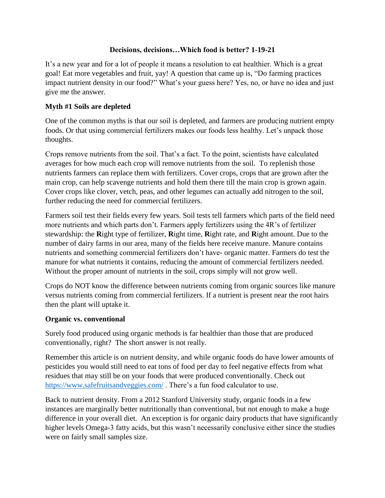### **Decisions, decisions…Which food is better? 1-19-21**

It's a new year and for a lot of people it means a resolution to eat healthier. Which is a great goal! Eat more vegetables and fruit, yay! A question that came up is, "Do farming practices impact nutrient density in our food?" What's your guess here? Yes, no, or have no idea and just give me the answer.

# **Myth #1 Soils are depleted**

One of the common myths is that our soil is depleted, and farmers are producing nutrient empty foods. Or that using commercial fertilizers makes our foods less healthy. Let's unpack those thoughts.

Crops remove nutrients from the soil. That's a fact. To the point, scientists have calculated averages for how much each crop will remove nutrients from the soil. To replenish those nutrients farmers can replace them with fertilizers. Cover crops, crops that are grown after the main crop, can help scavenge nutrients and hold them there till the main crop is grown again. Cover crops like clover, vetch, peas, and other legumes can actually add nitrogen to the soil, further reducing the need for commercial fertilizers.

Farmers soil test their fields every few years. Soil tests tell farmers which parts of the field need more nutrients and which parts don't. Farmers apply fertilizers using the 4R's of fertilizer stewardship: the **R**ight type of fertilizer, **R**ight time, **R**ight rate, and **R**ight amount. Due to the number of dairy farms in our area, many of the fields here receive manure. Manure contains nutrients and something commercial fertilizers don't have- organic matter. Farmers do test the manure for what nutrients it contains, reducing the amount of commercial fertilizers needed. Without the proper amount of nutrients in the soil, crops simply will not grow well.

Crops do NOT know the difference between nutrients coming from organic sources like manure versus nutrients coming from commercial fertilizers. If a nutrient is present near the root hairs then the plant will uptake it.

# **Organic vs. conventional**

Surely food produced using organic methods is far healthier than those that are produced conventionally, right? The short answer is not really.

Remember this article is on nutrient density, and while organic foods do have lower amounts of pesticides you would still need to eat tons of food per day to feel negative effects from what residues that may still be on your foods that were produced conventionally. Check out <https://www.safefruitsandveggies.com/> . There's a fun food calculator to use.

Back to nutrient density. From a 2012 Stanford University study, organic foods in a few instances are marginally better nutritionally than conventional, but not enough to make a huge difference in your overall diet. An exception is for organic dairy products that have significantly higher levels Omega-3 fatty acids, but this wasn't necessarily conclusive either since the studies were on fairly small samples size.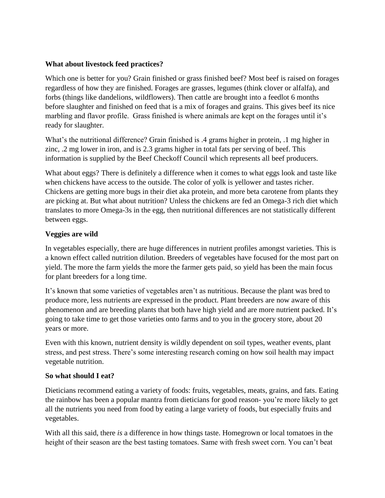## **What about livestock feed practices?**

Which one is better for you? Grain finished or grass finished beef? Most beef is raised on forages regardless of how they are finished. Forages are grasses, legumes (think clover or alfalfa), and forbs (things like dandelions, wildflowers). Then cattle are brought into a feedlot 6 months before slaughter and finished on feed that is a mix of forages and grains. This gives beef its nice marbling and flavor profile. Grass finished is where animals are kept on the forages until it's ready for slaughter.

What's the nutritional difference? Grain finished is .4 grams higher in protein, .1 mg higher in zinc, .2 mg lower in iron, and is 2.3 grams higher in total fats per serving of beef. This information is supplied by the Beef Checkoff Council which represents all beef producers.

What about eggs? There is definitely a difference when it comes to what eggs look and taste like when chickens have access to the outside. The color of yolk is yellower and tastes richer. Chickens are getting more bugs in their diet aka protein, and more beta carotene from plants they are picking at. But what about nutrition? Unless the chickens are fed an Omega-3 rich diet which translates to more Omega-3s in the egg, then nutritional differences are not statistically different between eggs.

### **Veggies are wild**

In vegetables especially, there are huge differences in nutrient profiles amongst varieties. This is a known effect called nutrition dilution. Breeders of vegetables have focused for the most part on yield. The more the farm yields the more the farmer gets paid, so yield has been the main focus for plant breeders for a long time.

It's known that some varieties of vegetables aren't as nutritious. Because the plant was bred to produce more, less nutrients are expressed in the product. Plant breeders are now aware of this phenomenon and are breeding plants that both have high yield and are more nutrient packed. It's going to take time to get those varieties onto farms and to you in the grocery store, about 20 years or more.

Even with this known, nutrient density is wildly dependent on soil types, weather events, plant stress, and pest stress. There's some interesting research coming on how soil health may impact vegetable nutrition.

#### **So what should I eat?**

Dieticians recommend eating a variety of foods: fruits, vegetables, meats, grains, and fats. Eating the rainbow has been a popular mantra from dieticians for good reason- you're more likely to get all the nutrients you need from food by eating a large variety of foods, but especially fruits and vegetables.

With all this said, there *is* a difference in how things taste. Homegrown or local tomatoes in the height of their season are the best tasting tomatoes. Same with fresh sweet corn. You can't beat